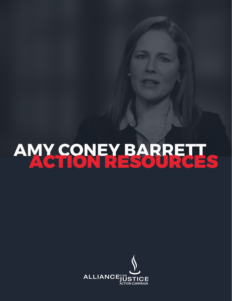# AMY CONEY BARRETT

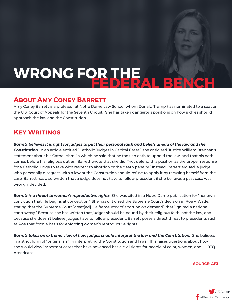## WRONG FOR THE AL BEN

### **About Amy Coney Barrett**

Amy Coney Barrett is a professor at Notre Dame Law School whom Donald Trump has nominated to a seat on the U.S. Court of Appeals for the Seventh Circuit. She has taken dangerous positions on how judges should approach the law and the Constitution.

## **Key Writings**

*Barrett believes it is right for judges to put their personal faith and beliefs ahead of the law and the Constitution.* In an article entitled "Catholic Judges in Capital Cases," she criticized Justice William Brennan's statement about his Catholicism, in which he said that he took an oath to uphold the law, and that his oath comes before his religious duties. Barrett wrote that she did: "not defend this position as the proper response for a Catholic judge to take with respect to abortion or the death penalty." Instead, Barrett argued, a judge who personally disagrees with a law or the Constitution should refuse to apply it by recusing herself from the case. Barrett has also written that a judge does not have to follow precedent if she believes a past case was wrongly decided.

*Barrett is a threat to women's reproductive rights.* **She was cited in a Notre Dame publication for "her own** conviction that life begins at conception." She has criticized the Supreme Court's decision in Roe v. Wade, stating that the Supreme Court "creat[ed] ... a framework of abortion on demand" that "ignited a national controversy." Because she has written that judges should be bound by their religious faith, not the law, and because she doesn't believe judges have to follow precedent, Barrett poses a direct threat to precedents such as Roe that form a basis for enforcing women's reproductive rights.

*Barrett takes an extreme view of how judges should interpret the law and the Constitution.* **She believes** in a strict form of "originalism" in interpreting the Constitution and laws. This raises questions about how she would view important cases that have advanced basic civil rights for people of color, women, and LGBTQ Americans.

**SOURCE: AFJ**

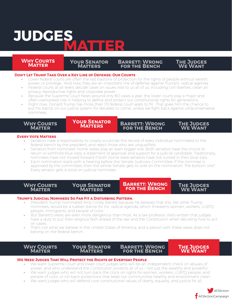## **JUDGES MATTER**

#### **RULES COURTS Accountability Accountability Why Courts Matter**

#### **Your Senator Matters Barrett: Wrong for the Bench**

#### **Don't Let Trump Take Over a Key Line of Defense: Our Courts**

- Lower federal courts are often the last bastions of protection for the rights of people without wealth, power, or privilege. And now, they are an important line of defense against Trump's radical agenda.
- Federal courts at all levels decide cases on issues vital to us all of us, including civil liberties, clean air, privacy, reproductive rights and corporate power.
- Because the Supreme Court hears around only 80 cases a year, the lower courts play a major and often-overlooked role in helping to define and protect our constitutional rights for generations.
- Right now, Donald Trump has more than 115 federal court seats to fill. That gives him the chance to put his stamp on our justice system for decades to come, unless we fight back against ultraconservative nominees.

#### **Why Courts Matter**

### **Your Senator Your Senator Matters Matters**

**Barrett: Wrong for the Bench**

**The Judges We Want**

**The Judges We Want**

#### **Every Vote Matters**

- Senators have a responsibility to closely scrutinize the record of every individual nominated to the federal bench by the president, and reject those who are unqualified.
- Senators from nominees' home states play an even bigger role. Both senators have the choice to return or withhold blue slips, a statement of approval and support for a judicial candidate. Traditionally, nominees have not moved forward if both home state senators have not turned in their blue slips.
- Each nomination starts with a hearing before the Senate Judiciary Committee. If the nominee is approved by the committee, then the whole Senate gets to vote on the nomination. The bottom line? Every senator gets a voice on judicial nominees.

**Why Courts Matter**

#### **Your Senator Matters**

#### **BARRETT: WRON<br>FOD THE RENCL**  $\mathbf{S}$  THE B **Barrett: Wrong for the Bench**

**The Judges We Want**

#### **Trump's Judicial Nominees So Far Fit a Disturbing Pattern.**

- President Trump nominated Amy Coney Barrett because he believes that she, like other Trump nominees, would be a rubber stamp for his radical agenda, which threatens women, workers, LGBTQ people, immigrants, and people of color.
- But Barrett's views are even more dangerous than most. As a law professor, she's written that judges have a duty to put their religious faith ahead of the law and the Constitution when deciding how to act on cases.
- That's not what we believe in the United States of America, and a person with these views does not belong on the federal bench.

**Why Courts Matter**

**Your Senator Matters**

**Barrett: Wrong for the Bench**

**The Judges HE JUDGES<br>WE WANT** 

#### **We Need Judges That Will Protect the Rights of Everyday People**

- We want Supreme Court and lower court judges who will be an independent check on abuses of power, and who understand the Constitution protects all of us – not just the wealthy and powerful.
- We want judges who will not turn back the clock on rights for women, workers, LGBTQ people, and people of color, or roll back protections that keep our communities healthy and environment clean.
- We want judges who will defend core constitutional values of liberty, equality, and justice for all.

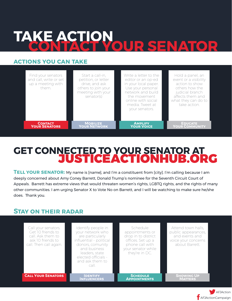## **TAKE ACTION CONTACT YOUR SENATOR**

### **actions you can take**

| Find your senators<br>and call, write or set<br>up a meeting with<br>them. | Start a call-in,<br>petition, or letter<br>drive, and ask<br>others to join your<br>meeting with your<br>senator(s) | Write a letter to the<br>editor or an op-ed<br>in your local paper.<br>Use your personal<br>network and build<br>the movement<br>online with social<br>media. Tweet at<br>your senators. | Hold a panel, an<br>event or a visibility<br>action to show<br>others how the<br>judicial branch<br>affects them and<br>what they can do to<br>take action. |
|----------------------------------------------------------------------------|---------------------------------------------------------------------------------------------------------------------|------------------------------------------------------------------------------------------------------------------------------------------------------------------------------------------|-------------------------------------------------------------------------------------------------------------------------------------------------------------|
| <b>CONTACT</b>                                                             | <b>MOBILIZE</b>                                                                                                     | <b>AMPLIFY</b>                                                                                                                                                                           | <b>EDUCATE</b>                                                                                                                                              |
| <b>YOUR SENATORS</b>                                                       | <b>YOUR NETWORK</b>                                                                                                 | <b>YOUR VOICE</b>                                                                                                                                                                        | <b>YOUR COMMUNITY</b>                                                                                                                                       |

## **GET CONNECTED TO YOUR SENATOR AT** JUSTICEACTIONHUB.ORG

**TELL YOUR SENATOR:** My name is [name], and I'm a constituent from [city]. I'm calling because I am deeply concerned about Amy Coney Barrett, Donald Trump's nominee for the Seventh Circuit Court of Appeals. Barrett has extreme views that would threaten women's rights, LGBTQ rights, and the rights of many other communities. I am urging Senator X to Vote No on Barrett, and I will be watching to make sure he/she does. Thank you.

## **Stay on their radar**



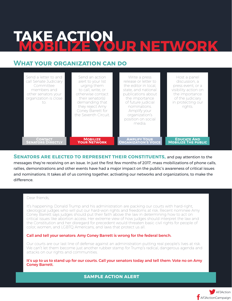## **TAKE ACTION MOBILIZE YOUR NETWORK**

## **What your organization can do**

| Send a letter to and<br>call Senate Judiciary<br>Committee<br>members and<br>other senators your<br>organization is close<br>to. | Send an action<br>alert to your list<br>urging them<br>to call, write, or<br>otherwise contact<br>their senator(s)<br>demanding that<br>they reject Amy<br>Coney Barrett for<br>the Seventh Circuit. | Write a press<br>release or letter to<br>the editor in local.<br>state, and national<br>publications about<br>the importance<br>of future judicial<br>nominations.<br>Amplify your<br>organization's<br>position on social<br>media. | Host a panel<br>discussion, a<br>press event, or a<br>visibility action on<br>the importance<br>of the judiciary<br>in protecting our<br>rights. |
|----------------------------------------------------------------------------------------------------------------------------------|------------------------------------------------------------------------------------------------------------------------------------------------------------------------------------------------------|--------------------------------------------------------------------------------------------------------------------------------------------------------------------------------------------------------------------------------------|--------------------------------------------------------------------------------------------------------------------------------------------------|
| <b>CONTACT</b>                                                                                                                   | <b>MOBILIZE</b>                                                                                                                                                                                      | <b>AMPLIFY YOUR</b>                                                                                                                                                                                                                  | <b>EDUCATE AND</b>                                                                                                                               |
| <b>SENATORS DIRECTLY</b>                                                                                                         | <b>YOUR NETWORK</b>                                                                                                                                                                                  | <b>ORGANIZATION'S VOICE</b>                                                                                                                                                                                                          | <b>MOBILIZE THE PUBLIC</b>                                                                                                                       |

**SENATORS ARE ELECTED TO REPRESENT THEIR CONSTITUENTS, and pay attention to the** messages they're receiving on an issue. In just the first few months of 2017, mass mobilizations of phone calls, rallies, demonstrations and other events have had a major impact on the public's awareness of critical issues and nominations. It takes all of us coming together, activating our networks and organizations, to make the difference.

#### Dear friends,

It's happening: Donald Trump and his administration are packing our courts with hard-right, ideological judges who will put our hard-won rights and freedoms at risk. Recent nominee Amy Coney Barrett says judges should put their faith above the law in determining how to act on critical issues like abortion access. Her extreme view of how judges should interpret the law and the Constitution and her disregard for precedent would threaten basic civil rights for people of color, women, and LGBTQ Americans, and laws that protect us all.

#### Call and tell your senators: Amy Coney Barrett is wrong for the federal bench.

Our courts are our last line of defense against an administration putting real people's lives at risk. We can't let them become just another rubber stamp for Trump's radical, dangerous agenda and attacks on our rights and communities.

It's up to us to stand up for our courts. Call your senators today and tell them: Vote no on Amy Coney Barrett.

**sample action alert**

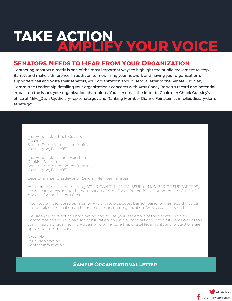## **TAKE ACTION AMPLIFY YOUR VOICE**

### **Senators Needs to Hear From Your Organization**

Contacting senators directly is one of the most important ways to highlight the public movement to stop Barrett and make a difference. In addition to mobilizing your network and having your organization's supporters call and write their senators, your organization should send a letter to the Senate Judiciary Committee Leadership detailing your organization's concerns with Amy Coney Barrett's record and potential impact on the issues your organization champions. You can email the letter to Chairman Chuck Grassley's office at Mike\_Davis@judiciary-rep.senate.gov and Ranking Member Dianne Feinstein at info@judiciary-dem. senate.gov.

The Honorable Chuck Grassley Chairman Senate Committee on the Judiciary Washington, D.C. 20510

The Honorable Dianne Feinstein Ranking Member Senate Committee on the Judiciary Washington, D.C. 20510

Dear Chairman Grassley and Ranking Member Feinstein:

As an organization representing [YOUR CONSTITUENCY, ISSUE, or NUMBER OF SUPPORTERS], we write in opposition to the nomination of Amy Coney Barrett for a seat on the U.S. Court of Appeals for the Seventh Circuit.

[Your customized paragraphs on why your group opposes Barrett, based on her record. You can find detailed information on her record in our sister organization AFJ's research [report](https://www.afj.org/reports/nominee-report-amy-coney-barrett).]

We urge you to reject this nomination and to use your leadership of the Senate Judiciary Committee to ensure bipartisan consultation on judicial nominations in the future, as well as the confirmation of qualified individuals who will ensure that critical legal rights and protections are upheld for all Americans.

Sincerely, Your Organization Contact information

**Sample Organizational Letter**

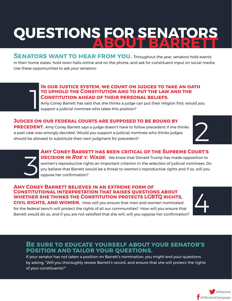## **QUESTIONS FOR SENATORS ABOUT BARRETT**

**SENATORS WANT TO HEAR FROM YOU.** Throughout the year, senators hold events in their home states, hold town halls online and on the phone, and ask for constituent input on social media. Use these opportunities to ask your senators:

## **In our justice system, we count on judges to take an oath to uphold the Constitution and to put the law and the Constitution ahead of their personal beliefs.** 1

Amy Coney Barrett has said that she thinks a judge can put their religion first; would you support a judicial nominee who takes this position?

### **Judges on our federal courts are supposed to be bound by**

**PRECEDENT.** Amy Coney Barrett says a judge doesn't have to follow precedent if she thinks a past case was wrongly decided. Would you support a judicial nominee who thinks judges should be allowed to substitute their own judgment for precedent?





**Amy Coney Barrett has been critical of the Supreme Court's DECISION IN ROE V. WADE.** We know that Donald Trump has made opposition to women's reproductive rights an important criterion in the selection of judicial nominees. Do you believe that Barrett would be a threat to women's reproductive rights and if so, will you oppose her confirmation?

### **Amy Coney Barrett believes in an extreme form of Constitutional interpretation that raises questions about whether she thinks the Constitution protects LGBTQ rights,**

**CIVIL RIGHTS, AND WOMEN.** How will you ensure that men and women nominated for the federal bench will protect the rights of all our communities? How will you ensure that Barrett would do so, and if you are not satisfied that she will, will you oppose her confirmation?

4

### **Be sure to educate yourself about your senator's position and tailor your questions.**

If your senator has not taken a position on Barrett's nomination, you might end your questions by asking, "Will you thoroughly review Barrett's record, and ensure that she will protect the rights of your constituents?"